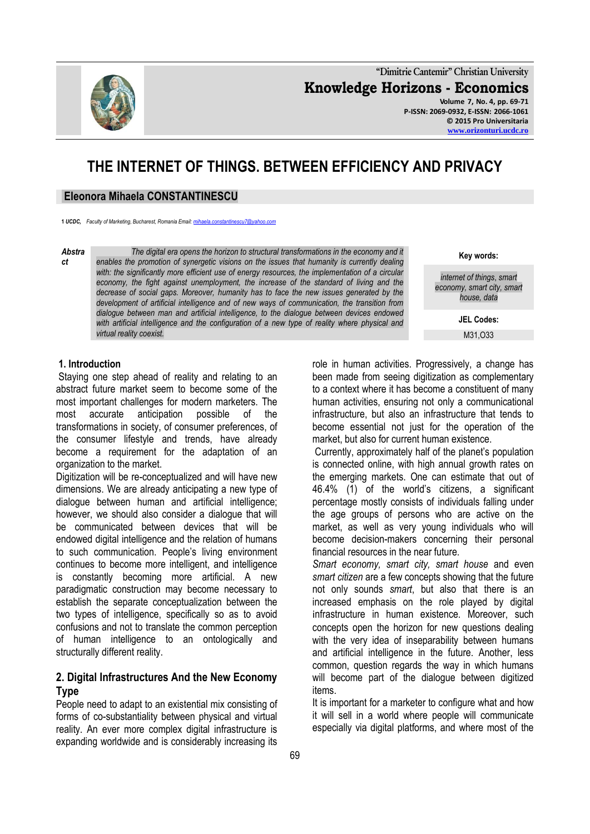

**"Dimitrie Cantemir" Christian University Knowledge Horizons - Economics Volume 7, No. 4, pp. 69-71 P-ISSN: 2069-0932, E-ISSN: 2066-1061 © 2015 Pro Universitaria [www.orizonturi.ucdc.ro](http://www.orizonturi.ucdc.ro/)**

# **THE INTERNET OF THINGS. BETWEEN EFFICIENCY AND PRIVACY**

### **Eleonora Mihaela CONSTANTINESCU**

**1** *UCDC, Faculty of Marketing, Bucharest, Romania Email[: mihaela.constantinescu7@yahoo.com](mailto:mihaela.constantinescu7@yahoo.com)* 

*Abstra ct*

*The digital era opens the horizon to structural transformations in the economy and it enables the promotion of synergetic visions on the issues that humanity is currently dealing*  with: the significantly more efficient use of energy resources, the implementation of a circular *economy, the fight against unemployment, the increase of the standard of living and the decrease of social gaps. Moreover, humanity has to face the new issues generated by the development of artificial intelligence and of new ways of communication, the transition from dialogue between man and artificial intelligence, to the dialogue between devices endowed*  with artificial intelligence and the configuration of a new type of reality where physical and *virtual reality coexist.*

**Key words:**

*internet of things*, *smart economy, smart city, smart house, data*

> **JEL Codes:** M31,O33

#### **1. Introduction**

Staying one step ahead of reality and relating to an abstract future market seem to become some of the most important challenges for modern marketers. The most accurate anticipation possible of the transformations in society, of consumer preferences, of the consumer lifestyle and trends, have already become a requirement for the adaptation of an organization to the market.

Digitization will be re-conceptualized and will have new dimensions. We are already anticipating a new type of dialogue between human and artificial intelligence; however, we should also consider a dialogue that will be communicated between devices that will be endowed digital intelligence and the relation of humans to such communication. People's living environment continues to become more intelligent, and intelligence is constantly becoming more artificial. A new paradigmatic construction may become necessary to establish the separate conceptualization between the two types of intelligence, specifically so as to avoid confusions and not to translate the common perception of human intelligence to an ontologically and structurally different reality.

### **2. Digital Infrastructures And the New Economy Type**

People need to adapt to an existential mix consisting of forms of co-substantiality between physical and virtual reality. An ever more complex digital infrastructure is expanding worldwide and is considerably increasing its

role in human activities. Progressively, a change has been made from seeing digitization as complementary to a context where it has become a constituent of many human activities, ensuring not only a communicational infrastructure, but also an infrastructure that tends to become essential not just for the operation of the market, but also for current human existence.

Currently, approximately half of the planet's population is connected online, with high annual growth rates on the emerging markets. One can estimate that out of 46.4% (1) of the world's citizens, a significant percentage mostly consists of individuals falling under the age groups of persons who are active on the market, as well as very young individuals who will become decision-makers concerning their personal financial resources in the near future.

*Smart economy, smart city, smart house* and even *smart citizen* are a few concepts showing that the future not only sounds *smart*, but also that there is an increased emphasis on the role played by digital infrastructure in human existence. Moreover, such concepts open the horizon for new questions dealing with the very idea of inseparability between humans and artificial intelligence in the future. Another, less common, question regards the way in which humans will become part of the dialogue between digitized items.

It is important for a marketer to configure what and how it will sell in a world where people will communicate especially via digital platforms, and where most of the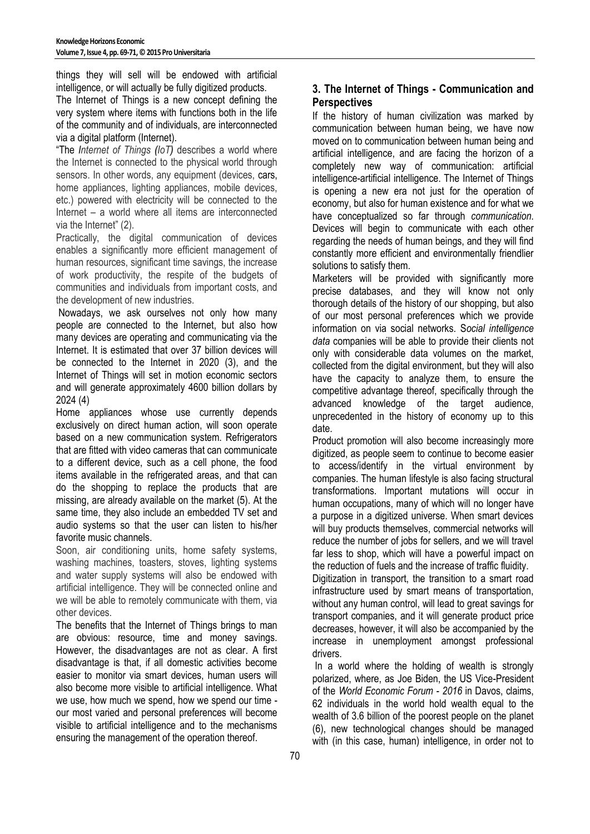things they will sell will be endowed with artificial intelligence, or will actually be fully digitized products.

The Internet of Things is a new concept defining the very system where items with functions both in the life of the community and of individuals, are interconnected via a digital platform (Internet).

"The *Internet of Things (IoT)* describes a world where the Internet is connected to the physical world through sensors. In other words, any equipment (devices, [cars,](http://profitshare.ro/l/1710891#_blank) home appliances, lighting appliances, mobile devices, etc.) powered with electricity will be connected to the Internet – a world where all items are interconnected via the Internet" (2).

Practically, the digital communication of devices enables a significantly more efficient management of human resources, significant time savings, the increase of work productivity, the respite of the budgets of communities and individuals from important costs, and the development of new industries.

Nowadays, we ask ourselves not only how many people are connected to the Internet, but also how many devices are operating and communicating via the Internet. It is estimated that over 37 billion devices will be connected to the Internet in 2020 (3), and the Internet of Things will set in motion economic sectors and will generate approximately 4600 billion dollars by 2024 (4)

Home appliances whose use currently depends exclusively on direct human action, will soon operate based on a new communication system. Refrigerators that are fitted with video cameras that can communicate to a different device, such as a cell phone, the food items available in the refrigerated areas, and that can do the shopping to replace the products that are missing, are already available on the market (5). At the same time, they also include an embedded TV set and audio systems so that the user can listen to his/her favorite music channels.

Soon, air conditioning units, home safety systems, washing machines, toasters, stoves, lighting systems and water supply systems will also be endowed with artificial intelligence. They will be connected online and we will be able to remotely communicate with them, via other devices.

The benefits that the Internet of Things brings to man are obvious: resource, time and money savings. However, the disadvantages are not as clear. A first disadvantage is that, if all domestic activities become easier to monitor via smart devices, human users will also become more visible to artificial intelligence. What we use, how much we spend, how we spend our time our most varied and personal preferences will become visible to artificial intelligence and to the mechanisms ensuring the management of the operation thereof.

## **3. The Internet of Things - Communication and Perspectives**

If the history of human civilization was marked by communication between human being, we have now moved on to communication between human being and artificial intelligence, and are facing the horizon of a completely new way of communication: artificial intelligence-artificial intelligence. The Internet of Things is opening a new era not just for the operation of economy, but also for human existence and for what we have conceptualized so far through *communication*. Devices will begin to communicate with each other regarding the needs of human beings, and they will find constantly more efficient and environmentally friendlier solutions to satisfy them.

Marketers will be provided with significantly more precise databases, and they will know not only thorough details of the history of our shopping, but also of our most personal preferences which we provide information on via social networks. S*ocial intelligence data* companies will be able to provide their clients not only with considerable data volumes on the market, collected from the digital environment, but they will also have the capacity to analyze them, to ensure the competitive advantage thereof, specifically through the advanced knowledge of the target audience, unprecedented in the history of economy up to this date.

Product promotion will also become increasingly more digitized, as people seem to continue to become easier to access/identify in the virtual environment by companies. The human lifestyle is also facing structural transformations. Important mutations will occur in human occupations, many of which will no longer have a purpose in a digitized universe. When smart devices will buy products themselves, commercial networks will reduce the number of jobs for sellers, and we will travel far less to shop, which will have a powerful impact on the reduction of fuels and the increase of traffic fluidity.

Digitization in transport, the transition to a smart road infrastructure used by smart means of transportation, without any human control, will lead to great savings for transport companies, and it will generate product price decreases, however, it will also be accompanied by the increase in unemployment amongst professional drivers.

In a world where the holding of wealth is strongly polarized, where, as Joe Biden, the US Vice-President of the *World Economic Forum - 2016* in Davos, claims, 62 individuals in the world hold wealth equal to the wealth of 3.6 billion of the poorest people on the planet (6), new technological changes should be managed with (in this case, human) intelligence, in order not to